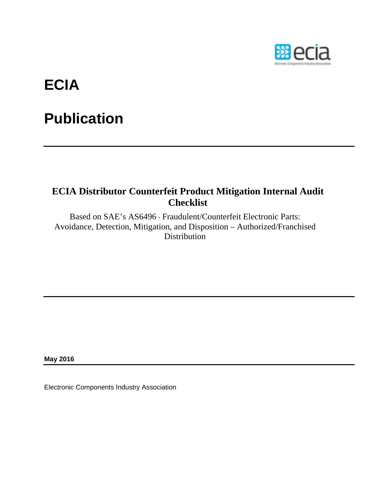

# **ECIA**

## **Publication**

## **ECIA Distributor Counterfeit Product Mitigation Internal Audit Checklist**

Based on SAE's AS6496 - Fraudulent/Counterfeit Electronic Parts: Avoidance, Detection, Mitigation, and Disposition – Authorized/Franchised **Distribution** 

**May 2016** 

Electronic Components Industry Association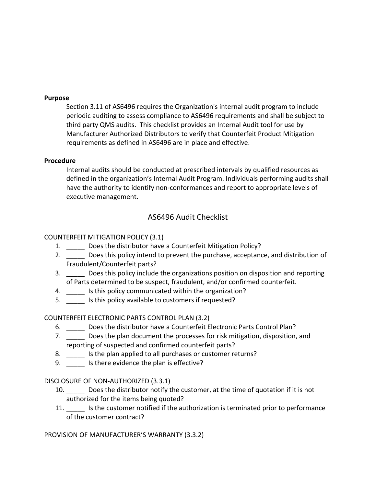#### **Purpose**

Section 3.11 of AS6496 requires the Organization's internal audit program to include periodic auditing to assess compliance to AS6496 requirements and shall be subject to third party QMS audits. This checklist provides an Internal Audit tool for use by Manufacturer Authorized Distributors to verify that Counterfeit Product Mitigation requirements as defined in AS6496 are in place and effective.

#### **Procedure**

Internal audits should be conducted at prescribed intervals by qualified resources as defined in the organization's Internal Audit Program. Individuals performing audits shall have the authority to identify non-conformances and report to appropriate levels of executive management.

## AS6496 Audit Checklist

#### COUNTERFEIT MITIGATION POLICY (3.1)

- 1. Does the distributor have a Counterfeit Mitigation Policy?
- 2. \_\_\_\_\_\_ Does this policy intend to prevent the purchase, acceptance, and distribution of Fraudulent/Counterfeit parts?
- 3. \_\_\_\_\_\_ Does this policy include the organizations position on disposition and reporting of Parts determined to be suspect, fraudulent, and/or confirmed counterfeit.
- 4. \_\_\_\_\_ Is this policy communicated within the organization?
- 5. \_\_\_\_\_ Is this policy available to customers if requested?

## COUNTERFEIT ELECTRONIC PARTS CONTROL PLAN (3.2)

- 6. Does the distributor have a Counterfeit Electronic Parts Control Plan?
- 7. \_\_\_\_\_ Does the plan document the processes for risk mitigation, disposition, and reporting of suspected and confirmed counterfeit parts?
- 8. \_\_\_\_\_ Is the plan applied to all purchases or customer returns?
- 9. Subsetstance the plan is effective?

#### DISCLOSURE OF NON‐AUTHORIZED (3.3.1)

- 10. Does the distributor notify the customer, at the time of quotation if it is not authorized for the items being quoted?
- 11. Subsetstands is the customer notified if the authorization is terminated prior to performance of the customer contract?

PROVISION OF MANUFACTURER'S WARRANTY (3.3.2)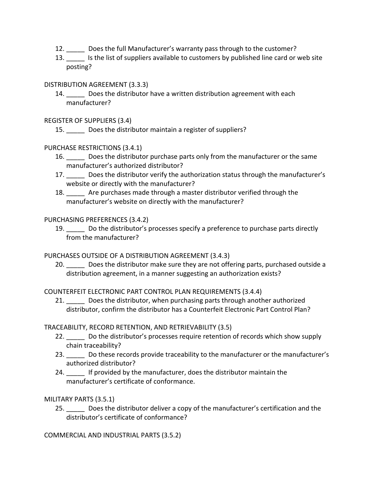- 12. \_\_\_\_\_ Does the full Manufacturer's warranty pass through to the customer?
- 13. Is the list of suppliers available to customers by published line card or web site posting?

#### DISTRIBUTION AGREEMENT (3.3.3)

14. Does the distributor have a written distribution agreement with each manufacturer?

REGISTER OF SUPPLIERS (3.4)

15. Does the distributor maintain a register of suppliers?

PURCHASE RESTRICTIONS (3.4.1)

- 16. \_\_\_\_\_ Does the distributor purchase parts only from the manufacturer or the same manufacturer's authorized distributor?
- 17. Does the distributor verify the authorization status through the manufacturer's website or directly with the manufacturer?
- 18. \_\_\_\_\_ Are purchases made through a master distributor verified through the manufacturer's website on directly with the manufacturer?

#### PURCHASING PREFERENCES (3.4.2)

19. Do the distributor's processes specify a preference to purchase parts directly from the manufacturer?

PURCHASES OUTSIDE OF A DISTRIBUTION AGREEMENT (3.4.3)

20. Does the distributor make sure they are not offering parts, purchased outside a distribution agreement, in a manner suggesting an authorization exists?

COUNTERFEIT ELECTRONIC PART CONTROL PLAN REQUIREMENTS (3.4.4)

21. Does the distributor, when purchasing parts through another authorized distributor, confirm the distributor has a Counterfeit Electronic Part Control Plan?

TRACEABILITY, RECORD RETENTION, AND RETRIEVABILITY (3.5)

- 22. Do the distributor's processes require retention of records which show supply chain traceability?
- 23. Do these records provide traceability to the manufacturer or the manufacturer's authorized distributor?
- 24. \_\_\_\_\_ If provided by the manufacturer, does the distributor maintain the manufacturer's certificate of conformance.

MILITARY PARTS (3.5.1)

25. \_\_\_\_\_ Does the distributor deliver a copy of the manufacturer's certification and the distributor's certificate of conformance?

COMMERCIAL AND INDUSTRIAL PARTS (3.5.2)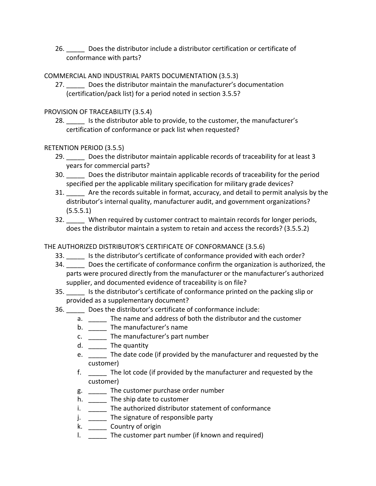26. Does the distributor include a distributor certification or certificate of conformance with parts?

## COMMERCIAL AND INDUSTRIAL PARTS DOCUMENTATION (3.5.3)

27. Does the distributor maintain the manufacturer's documentation (certification/pack list) for a period noted in section 3.5.5?

## PROVISION OF TRACEABILITY (3.5.4)

28. Is the distributor able to provide, to the customer, the manufacturer's certification of conformance or pack list when requested?

## RETENTION PERIOD (3.5.5)

- 29. Does the distributor maintain applicable records of traceability for at least 3 years for commercial parts?
- 30. \_\_\_\_\_ Does the distributor maintain applicable records of traceability for the period specified per the applicable military specification for military grade devices?
- 31. \_\_\_\_\_ Are the records suitable in format, accuracy, and detail to permit analysis by the distributor's internal quality, manufacturer audit, and government organizations? (5.5.5.1)
- 32. \_\_\_\_\_ When required by customer contract to maintain records for longer periods, does the distributor maintain a system to retain and access the records? (3.5.5.2)

## THE AUTHORIZED DISTRIBUTOR'S CERTIFICATE OF CONFORMANCE (3.5.6)

- 33. \_\_\_\_\_ Is the distributor's certificate of conformance provided with each order?
- 34. \_\_\_\_\_ Does the certificate of conformance confirm the organization is authorized, the parts were procured directly from the manufacturer or the manufacturer's authorized supplier, and documented evidence of traceability is on file?
- 35. \_\_\_\_\_ Is the distributor's certificate of conformance printed on the packing slip or provided as a supplementary document?
- 36. \_\_\_\_\_ Does the distributor's certificate of conformance include:
	- a. \_\_\_\_\_ The name and address of both the distributor and the customer
	- b. \_\_\_\_\_\_ The manufacturer's name
	- c. \_\_\_\_\_ The manufacturer's part number
	- d. \_\_\_\_\_\_ The quantity
	- e. \_\_\_\_\_ The date code (if provided by the manufacturer and requested by the customer)
	- f. \_\_\_\_\_ The lot code (if provided by the manufacturer and requested by the customer)
	- g. \_\_\_\_\_ The customer purchase order number
	- h. \_\_\_\_\_\_ The ship date to customer
	- i. \_\_\_\_\_\_ The authorized distributor statement of conformance
	- j. \_\_\_\_\_ The signature of responsible party
	- k. \_\_\_\_\_ Country of origin
	- l. \_\_\_\_\_ The customer part number (if known and required)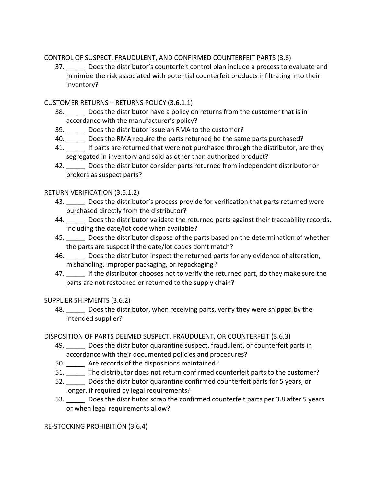CONTROL OF SUSPECT, FRAUDULENT, AND CONFIRMED COUNTERFEIT PARTS (3.6)

37. \_\_\_\_\_ Does the distributor's counterfeit control plan include a process to evaluate and minimize the risk associated with potential counterfeit products infiltrating into their inventory?

## CUSTOMER RETURNS – RETURNS POLICY (3.6.1.1)

- 38. Does the distributor have a policy on returns from the customer that is in accordance with the manufacturer's policy?
- 39. Does the distributor issue an RMA to the customer?
- 40. Does the RMA require the parts returned be the same parts purchased?
- 41. If parts are returned that were not purchased through the distributor, are they segregated in inventory and sold as other than authorized product?
- 42. \_\_\_\_\_ Does the distributor consider parts returned from independent distributor or brokers as suspect parts?

## RETURN VERIFICATION (3.6.1.2)

- 43. Does the distributor's process provide for verification that parts returned were purchased directly from the distributor?
- 44. Does the distributor validate the returned parts against their traceability records, including the date/lot code when available?
- 45. \_\_\_\_\_ Does the distributor dispose of the parts based on the determination of whether the parts are suspect if the date/lot codes don't match?
- 46. \_\_\_\_\_ Does the distributor inspect the returned parts for any evidence of alteration, mishandling, improper packaging, or repackaging?
- 47. If the distributor chooses not to verify the returned part, do they make sure the parts are not restocked or returned to the supply chain?

## SUPPLIER SHIPMENTS (3.6.2)

48. \_\_\_\_\_ Does the distributor, when receiving parts, verify they were shipped by the intended supplier?

## DISPOSITION OF PARTS DEEMED SUSPECT, FRAUDULENT, OR COUNTERFEIT (3.6.3)

- 49. \_\_\_\_\_ Does the distributor quarantine suspect, fraudulent, or counterfeit parts in accordance with their documented policies and procedures?
- 50. Are records of the dispositions maintained?
- 51. The distributor does not return confirmed counterfeit parts to the customer?
- 52. \_\_\_\_\_ Does the distributor quarantine confirmed counterfeit parts for 5 years, or longer, if required by legal requirements?
- 53. \_\_\_\_\_ Does the distributor scrap the confirmed counterfeit parts per 3.8 after 5 years or when legal requirements allow?

RE‐STOCKING PROHIBITION (3.6.4)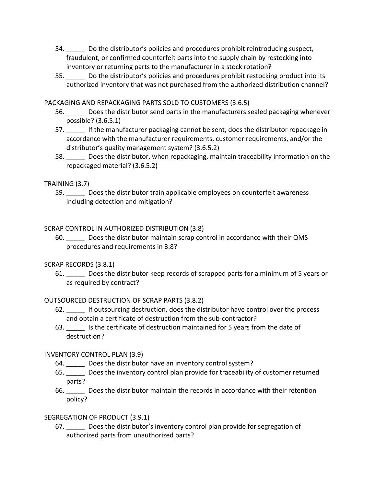- 54. \_\_\_\_\_ Do the distributor's policies and procedures prohibit reintroducing suspect, fraudulent, or confirmed counterfeit parts into the supply chain by restocking into inventory or returning parts to the manufacturer in a stock rotation?
- 55. \_\_\_\_\_ Do the distributor's policies and procedures prohibit restocking product into its authorized inventory that was not purchased from the authorized distribution channel?

PACKAGING AND REPACKAGING PARTS SOLD TO CUSTOMERS (3.6.5)

- 56. \_\_\_\_\_ Does the distributor send parts in the manufacturers sealed packaging whenever possible? (3.6.5.1)
- 57. If the manufacturer packaging cannot be sent, does the distributor repackage in accordance with the manufacturer requirements, customer requirements, and/or the distributor's quality management system? (3.6.5.2)
- 58. \_\_\_\_\_ Does the distributor, when repackaging, maintain traceability information on the repackaged material? (3.6.5.2)

## TRAINING (3.7)

59. \_\_\_\_\_ Does the distributor train applicable employees on counterfeit awareness including detection and mitigation?

#### SCRAP CONTROL IN AUTHORIZED DISTRIBUTION (3.8)

60. \_\_\_\_\_ Does the distributor maintain scrap control in accordance with their QMS procedures and requirements in 3.8?

## SCRAP RECORDS (3.8.1)

61. \_\_\_\_\_ Does the distributor keep records of scrapped parts for a minimum of 5 years or as required by contract?

## OUTSOURCED DESTRUCTION OF SCRAP PARTS (3.8.2)

- 62. \_\_\_\_\_ If outsourcing destruction, does the distributor have control over the process and obtain a certificate of destruction from the sub‐contractor?
- 63.  $\Box$  Is the certificate of destruction maintained for 5 years from the date of destruction?

#### INVENTORY CONTROL PLAN (3.9)

- 64. Does the distributor have an inventory control system?
- 65. \_\_\_\_\_ Does the inventory control plan provide for traceability of customer returned parts?
- 66. \_\_\_\_\_ Does the distributor maintain the records in accordance with their retention policy?

## SEGREGATION OF PRODUCT (3.9.1)

67. \_\_\_\_\_ Does the distributor's inventory control plan provide for segregation of authorized parts from unauthorized parts?